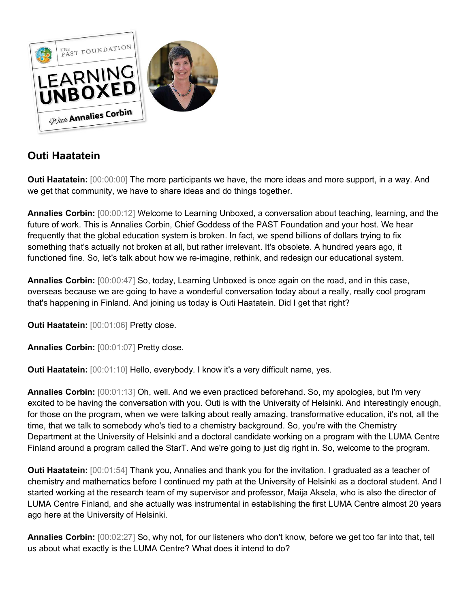

# **Outi Haatatein**

**Outi Haatatein:** [00:00:00] The more participants we have, the more ideas and more support, in a way. And we get that community, we have to share ideas and do things together.

**Annalies Corbin:** [00:00:12] Welcome to Learning Unboxed, a conversation about teaching, learning, and the future of work. This is Annalies Corbin, Chief Goddess of the PAST Foundation and your host. We hear frequently that the global education system is broken. In fact, we spend billions of dollars trying to fix something that's actually not broken at all, but rather irrelevant. It's obsolete. A hundred years ago, it functioned fine. So, let's talk about how we re-imagine, rethink, and redesign our educational system.

**Annalies Corbin:** [00:00:47] So, today, Learning Unboxed is once again on the road, and in this case, overseas because we are going to have a wonderful conversation today about a really, really cool program that's happening in Finland. And joining us today is Outi Haatatein. Did I get that right?

**Outi Haatatein:** [00:01:06] Pretty close.

**Annalies Corbin:** [00:01:07] Pretty close.

**Outi Haatatein:** [00:01:10] Hello, everybody. I know it's a very difficult name, yes.

**Annalies Corbin:** [00:01:13] Oh, well. And we even practiced beforehand. So, my apologies, but I'm very excited to be having the conversation with you. Outi is with the University of Helsinki. And interestingly enough, for those on the program, when we were talking about really amazing, transformative education, it's not, all the time, that we talk to somebody who's tied to a chemistry background. So, you're with the Chemistry Department at the University of Helsinki and a doctoral candidate working on a program with the LUMA Centre Finland around a program called the StarT. And we're going to just dig right in. So, welcome to the program.

**Outi Haatatein:** [00:01:54] Thank you, Annalies and thank you for the invitation. I graduated as a teacher of chemistry and mathematics before I continued my path at the University of Helsinki as a doctoral student. And I started working at the research team of my supervisor and professor, Maija Aksela, who is also the director of LUMA Centre Finland, and she actually was instrumental in establishing the first LUMA Centre almost 20 years ago here at the University of Helsinki.

**Annalies Corbin:** [00:02:27] So, why not, for our listeners who don't know, before we get too far into that, tell us about what exactly is the LUMA Centre? What does it intend to do?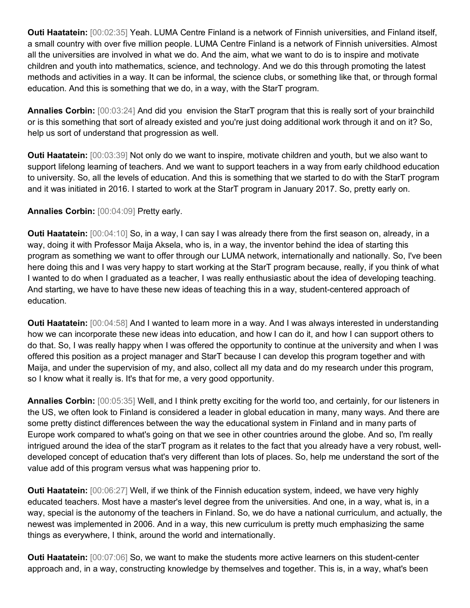**Outi Haatatein:** [00:02:35] Yeah. LUMA Centre Finland is a network of Finnish universities, and Finland itself, a small country with over five million people. LUMA Centre Finland is a network of Finnish universities. Almost all the universities are involved in what we do. And the aim, what we want to do is to inspire and motivate children and youth into mathematics, science, and technology. And we do this through promoting the latest methods and activities in a way. It can be informal, the science clubs, or something like that, or through formal education. And this is something that we do, in a way, with the StarT program.

**Annalies Corbin:** [00:03:24] And did you envision the StarT program that this is really sort of your brainchild or is this something that sort of already existed and you're just doing additional work through it and on it? So, help us sort of understand that progression as well.

**Outi Haatatein:** [00:03:39] Not only do we want to inspire, motivate children and youth, but we also want to support lifelong learning of teachers. And we want to support teachers in a way from early childhood education to university. So, all the levels of education. And this is something that we started to do with the StarT program and it was initiated in 2016. I started to work at the StarT program in January 2017. So, pretty early on.

# **Annalies Corbin:** [00:04:09] Pretty early.

**Outi Haatatein:** [00:04:10] So, in a way, I can say I was already there from the first season on, already, in a way, doing it with Professor Maija Aksela, who is, in a way, the inventor behind the idea of starting this program as something we want to offer through our LUMA network, internationally and nationally. So, I've been here doing this and I was very happy to start working at the StarT program because, really, if you think of what I wanted to do when I graduated as a teacher, I was really enthusiastic about the idea of developing teaching. And starting, we have to have these new ideas of teaching this in a way, student-centered approach of education.

**Outi Haatatein:** [00:04:58] And I wanted to learn more in a way. And I was always interested in understanding how we can incorporate these new ideas into education, and how I can do it, and how I can support others to do that. So, I was really happy when I was offered the opportunity to continue at the university and when I was offered this position as a project manager and StarT because I can develop this program together and with Maija, and under the supervision of my, and also, collect all my data and do my research under this program, so I know what it really is. It's that for me, a very good opportunity.

**Annalies Corbin:** [00:05:35] Well, and I think pretty exciting for the world too, and certainly, for our listeners in the US, we often look to Finland is considered a leader in global education in many, many ways. And there are some pretty distinct differences between the way the educational system in Finland and in many parts of Europe work compared to what's going on that we see in other countries around the globe. And so, I'm really intrigued around the idea of the starT program as it relates to the fact that you already have a very robust, welldeveloped concept of education that's very different than lots of places. So, help me understand the sort of the value add of this program versus what was happening prior to.

**Outi Haatatein:** [00:06:27] Well, if we think of the Finnish education system, indeed, we have very highly educated teachers. Most have a master's level degree from the universities. And one, in a way, what is, in a way, special is the autonomy of the teachers in Finland. So, we do have a national curriculum, and actually, the newest was implemented in 2006. And in a way, this new curriculum is pretty much emphasizing the same things as everywhere, I think, around the world and internationally.

**Outi Haatatein:** [00:07:06] So, we want to make the students more active learners on this student-center approach and, in a way, constructing knowledge by themselves and together. This is, in a way, what's been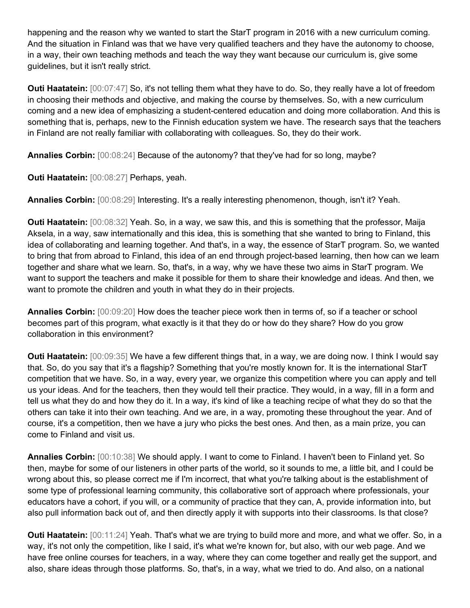happening and the reason why we wanted to start the StarT program in 2016 with a new curriculum coming. And the situation in Finland was that we have very qualified teachers and they have the autonomy to choose, in a way, their own teaching methods and teach the way they want because our curriculum is, give some guidelines, but it isn't really strict.

**Outi Haatatein:**  $[00:07:47]$  So, it's not telling them what they have to do. So, they really have a lot of freedom in choosing their methods and objective, and making the course by themselves. So, with a new curriculum coming and a new idea of emphasizing a student-centered education and doing more collaboration. And this is something that is, perhaps, new to the Finnish education system we have. The research says that the teachers in Finland are not really familiar with collaborating with colleagues. So, they do their work.

**Annalies Corbin:** [00:08:24] Because of the autonomy? that they've had for so long, maybe?

**Outi Haatatein:** [00:08:27] Perhaps, yeah.

**Annalies Corbin:** [00:08:29] Interesting. It's a really interesting phenomenon, though, isn't it? Yeah.

**Outi Haatatein:** [00:08:32] Yeah. So, in a way, we saw this, and this is something that the professor, Maija Aksela, in a way, saw internationally and this idea, this is something that she wanted to bring to Finland, this idea of collaborating and learning together. And that's, in a way, the essence of StarT program. So, we wanted to bring that from abroad to Finland, this idea of an end through project-based learning, then how can we learn together and share what we learn. So, that's, in a way, why we have these two aims in StarT program. We want to support the teachers and make it possible for them to share their knowledge and ideas. And then, we want to promote the children and youth in what they do in their projects.

**Annalies Corbin:** [00:09:20] How does the teacher piece work then in terms of, so if a teacher or school becomes part of this program, what exactly is it that they do or how do they share? How do you grow collaboration in this environment?

**Outi Haatatein:** [00:09:35] We have a few different things that, in a way, we are doing now. I think I would say that. So, do you say that it's a flagship? Something that you're mostly known for. It is the international StarT competition that we have. So, in a way, every year, we organize this competition where you can apply and tell us your ideas. And for the teachers, then they would tell their practice. They would, in a way, fill in a form and tell us what they do and how they do it. In a way, it's kind of like a teaching recipe of what they do so that the others can take it into their own teaching. And we are, in a way, promoting these throughout the year. And of course, it's a competition, then we have a jury who picks the best ones. And then, as a main prize, you can come to Finland and visit us.

**Annalies Corbin:** [00:10:38] We should apply. I want to come to Finland. I haven't been to Finland yet. So then, maybe for some of our listeners in other parts of the world, so it sounds to me, a little bit, and I could be wrong about this, so please correct me if I'm incorrect, that what you're talking about is the establishment of some type of professional learning community, this collaborative sort of approach where professionals, your educators have a cohort, if you will, or a community of practice that they can, A, provide information into, but also pull information back out of, and then directly apply it with supports into their classrooms. Is that close?

**Outi Haatatein:** [00:11:24] Yeah. That's what we are trying to build more and more, and what we offer. So, in a way, it's not only the competition, like I said, it's what we're known for, but also, with our web page. And we have free online courses for teachers, in a way, where they can come together and really get the support, and also, share ideas through those platforms. So, that's, in a way, what we tried to do. And also, on a national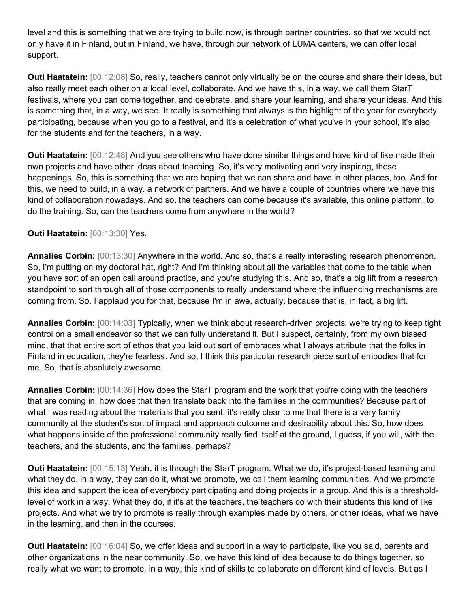level and this is something that we are trying to build now, is through partner countries, so that we would not only have it in Finland, but in Finland, we have, through our network of LUMA centers, we can offer local support.

**Outi Haatatein:** [00:12:08] So, really, teachers cannot only virtually be on the course and share their ideas, but also really meet each other on a local level, collaborate. And we have this, in a way, we call them StarT festivals, where you can come together, and celebrate, and share your learning, and share your ideas. And this is something that, in a way, we see. It really is something that always is the highlight of the year for everybody participating, because when you go to a festival, and it's a celebration of what you've in your school, it's also for the students and for the teachers, in a way.

**Outi Haatatein:** [00:12:48] And you see others who have done similar things and have kind of like made their own projects and have other ideas about teaching. So, it's very motivating and very inspiring, these happenings. So, this is something that we are hoping that we can share and have in other places, too. And for this, we need to build, in a way, a network of partners. And we have a couple of countries where we have this kind of collaboration nowadays. And so, the teachers can come because it's available, this online platform, to do the training. So, can the teachers come from anywhere in the world?

### **Outi Haatatein: [00:13:30] Yes.**

**Annalies Corbin:** [00:13:30] Anywhere in the world. And so, that's a really interesting research phenomenon. So, I'm putting on my doctoral hat, right? And I'm thinking about all the variables that come to the table when you have sort of an open call around practice, and you're studying this. And so, that's a big lift from a research standpoint to sort through all of those components to really understand where the influencing mechanisms are coming from. So, I applaud you for that, because I'm in awe, actually, because that is, in fact, a big lift.

**Annalies Corbin:** [00:14:03] Typically, when we think about research-driven projects, we're trying to keep tight control on a small endeavor so that we can fully understand it. But I suspect, certainly, from my own biased mind, that that entire sort of ethos that you laid out sort of embraces what I always attribute that the folks in Finland in education, they're fearless. And so, I think this particular research piece sort of embodies that for me. So, that is absolutely awesome.

**Annalies Corbin:** [00:14:36] How does the StarT program and the work that you're doing with the teachers that are coming in, how does that then translate back into the families in the communities? Because part of what I was reading about the materials that you sent, it's really clear to me that there is a very family community at the student's sort of impact and approach outcome and desirability about this. So, how does what happens inside of the professional community really find itself at the ground, I guess, if you will, with the teachers, and the students, and the families, perhaps?

**Outi Haatatein:** [00:15:13] Yeah, it is through the StarT program. What we do, it's project-based learning and what they do, in a way, they can do it, what we promote, we call them learning communities. And we promote this idea and support the idea of everybody participating and doing projects in a group. And this is a thresholdlevel of work in a way. What they do, if it's at the teachers, the teachers do with their students this kind of like projects. And what we try to promote is really through examples made by others, or other ideas, what we have in the learning, and then in the courses.

**Outi Haatatein:** [00:16:04] So, we offer ideas and support in a way to participate, like you said, parents and other organizations in the near community. So, we have this kind of idea because to do things together, so really what we want to promote, in a way, this kind of skills to collaborate on different kind of levels. But as I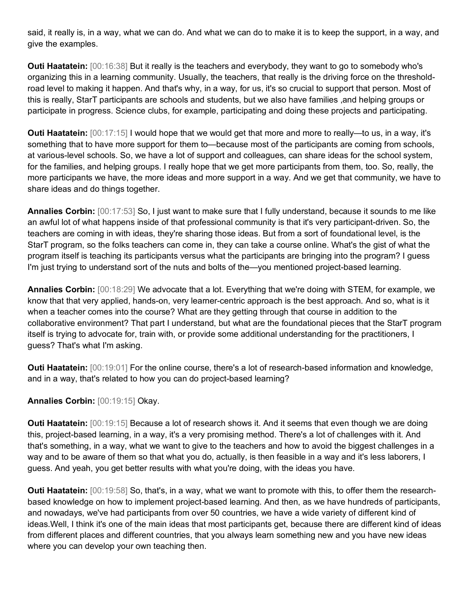said, it really is, in a way, what we can do. And what we can do to make it is to keep the support, in a way, and give the examples.

**Outi Haatatein:** [00:16:38] But it really is the teachers and everybody, they want to go to somebody who's organizing this in a learning community. Usually, the teachers, that really is the driving force on the thresholdroad level to making it happen. And that's why, in a way, for us, it's so crucial to support that person. Most of this is really, StarT participants are schools and students, but we also have families ,and helping groups or participate in progress. Science clubs, for example, participating and doing these projects and participating.

**Outi Haatatein:**  $[00:17:15]$  I would hope that we would get that more and more to really—to us, in a way, it's something that to have more support for them to—because most of the participants are coming from schools, at various-level schools. So, we have a lot of support and colleagues, can share ideas for the school system, for the families, and helping groups. I really hope that we get more participants from them, too. So, really, the more participants we have, the more ideas and more support in a way. And we get that community, we have to share ideas and do things together.

**Annalies Corbin:** [00:17:53] So, I just want to make sure that I fully understand, because it sounds to me like an awful lot of what happens inside of that professional community is that it's very participant-driven. So, the teachers are coming in with ideas, they're sharing those ideas. But from a sort of foundational level, is the StarT program, so the folks teachers can come in, they can take a course online. What's the gist of what the program itself is teaching its participants versus what the participants are bringing into the program? I guess I'm just trying to understand sort of the nuts and bolts of the—you mentioned project-based learning.

**Annalies Corbin:** [00:18:29] We advocate that a lot. Everything that we're doing with STEM, for example, we know that that very applied, hands-on, very learner-centric approach is the best approach. And so, what is it when a teacher comes into the course? What are they getting through that course in addition to the collaborative environment? That part I understand, but what are the foundational pieces that the StarT program itself is trying to advocate for, train with, or provide some additional understanding for the practitioners, I guess? That's what I'm asking.

**Outi Haatatein:**  $[00:19:01]$  For the online course, there's a lot of research-based information and knowledge, and in a way, that's related to how you can do project-based learning?

# **Annalies Corbin:** [00:19:15] Okay.

**Outi Haatatein:** [00:19:15] Because a lot of research shows it. And it seems that even though we are doing this, project-based learning, in a way, it's a very promising method. There's a lot of challenges with it. And that's something, in a way, what we want to give to the teachers and how to avoid the biggest challenges in a way and to be aware of them so that what you do, actually, is then feasible in a way and it's less laborers, I guess. And yeah, you get better results with what you're doing, with the ideas you have.

**Outi Haatatein:** [00:19:58] So, that's, in a way, what we want to promote with this, to offer them the researchbased knowledge on how to implement project-based learning. And then, as we have hundreds of participants, and nowadays, we've had participants from over 50 countries, we have a wide variety of different kind of ideas.Well, I think it's one of the main ideas that most participants get, because there are different kind of ideas from different places and different countries, that you always learn something new and you have new ideas where you can develop your own teaching then.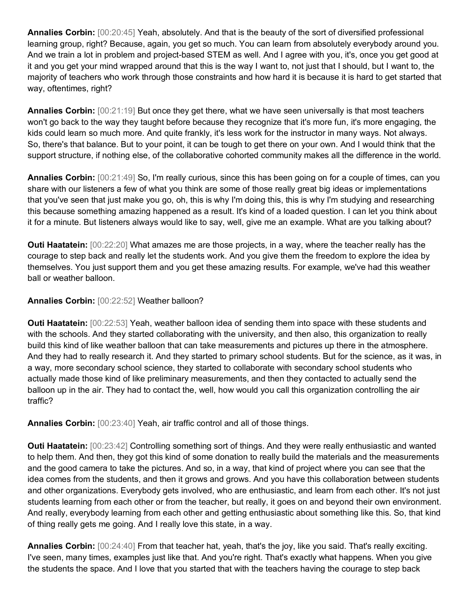**Annalies Corbin:** [00:20:45] Yeah, absolutely. And that is the beauty of the sort of diversified professional learning group, right? Because, again, you get so much. You can learn from absolutely everybody around you. And we train a lot in problem and project-based STEM as well. And I agree with you, it's, once you get good at it and you get your mind wrapped around that this is the way I want to, not just that I should, but I want to, the majority of teachers who work through those constraints and how hard it is because it is hard to get started that way, oftentimes, right?

**Annalies Corbin:** [00:21:19] But once they get there, what we have seen universally is that most teachers won't go back to the way they taught before because they recognize that it's more fun, it's more engaging, the kids could learn so much more. And quite frankly, it's less work for the instructor in many ways. Not always. So, there's that balance. But to your point, it can be tough to get there on your own. And I would think that the support structure, if nothing else, of the collaborative cohorted community makes all the difference in the world.

**Annalies Corbin:** [00:21:49] So, I'm really curious, since this has been going on for a couple of times, can you share with our listeners a few of what you think are some of those really great big ideas or implementations that you've seen that just make you go, oh, this is why I'm doing this, this is why I'm studying and researching this because something amazing happened as a result. It's kind of a loaded question. I can let you think about it for a minute. But listeners always would like to say, well, give me an example. What are you talking about?

**Outi Haatatein:** [00:22:20] What amazes me are those projects, in a way, where the teacher really has the courage to step back and really let the students work. And you give them the freedom to explore the idea by themselves. You just support them and you get these amazing results. For example, we've had this weather ball or weather balloon.

# **Annalies Corbin:** [00:22:52] Weather balloon?

**Outi Haatatein:** [00:22:53] Yeah, weather balloon idea of sending them into space with these students and with the schools. And they started collaborating with the university, and then also, this organization to really build this kind of like weather balloon that can take measurements and pictures up there in the atmosphere. And they had to really research it. And they started to primary school students. But for the science, as it was, in a way, more secondary school science, they started to collaborate with secondary school students who actually made those kind of like preliminary measurements, and then they contacted to actually send the balloon up in the air. They had to contact the, well, how would you call this organization controlling the air traffic?

**Annalies Corbin:** [00:23:40] Yeah, air traffic control and all of those things.

**Outi Haatatein:** [00:23:42] Controlling something sort of things. And they were really enthusiastic and wanted to help them. And then, they got this kind of some donation to really build the materials and the measurements and the good camera to take the pictures. And so, in a way, that kind of project where you can see that the idea comes from the students, and then it grows and grows. And you have this collaboration between students and other organizations. Everybody gets involved, who are enthusiastic, and learn from each other. It's not just students learning from each other or from the teacher, but really, it goes on and beyond their own environment. And really, everybody learning from each other and getting enthusiastic about something like this. So, that kind of thing really gets me going. And I really love this state, in a way.

**Annalies Corbin:** [00:24:40] From that teacher hat, yeah, that's the joy, like you said. That's really exciting. I've seen, many times, examples just like that. And you're right. That's exactly what happens. When you give the students the space. And I love that you started that with the teachers having the courage to step back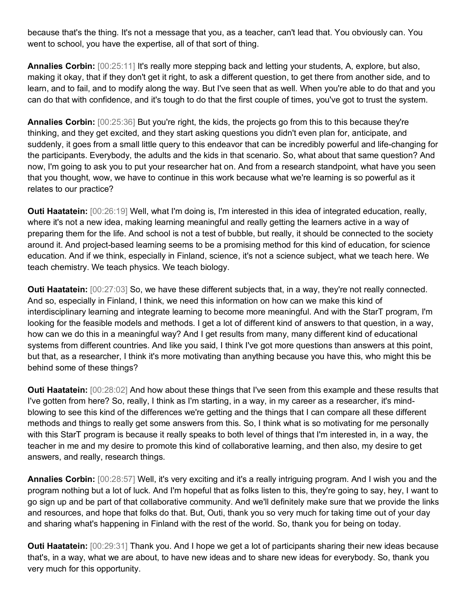because that's the thing. It's not a message that you, as a teacher, can't lead that. You obviously can. You went to school, you have the expertise, all of that sort of thing.

**Annalies Corbin:** [00:25:11] It's really more stepping back and letting your students, A, explore, but also, making it okay, that if they don't get it right, to ask a different question, to get there from another side, and to learn, and to fail, and to modify along the way. But I've seen that as well. When you're able to do that and you can do that with confidence, and it's tough to do that the first couple of times, you've got to trust the system.

**Annalies Corbin:**  $[00:25:36]$  But you're right, the kids, the projects go from this to this because they're thinking, and they get excited, and they start asking questions you didn't even plan for, anticipate, and suddenly, it goes from a small little query to this endeavor that can be incredibly powerful and life-changing for the participants. Everybody, the adults and the kids in that scenario. So, what about that same question? And now, I'm going to ask you to put your researcher hat on. And from a research standpoint, what have you seen that you thought, wow, we have to continue in this work because what we're learning is so powerful as it relates to our practice?

**Outi Haatatein:** [00:26:19] Well, what I'm doing is, I'm interested in this idea of integrated education, really, where it's not a new idea, making learning meaningful and really getting the learners active in a way of preparing them for the life. And school is not a test of bubble, but really, it should be connected to the society around it. And project-based learning seems to be a promising method for this kind of education, for science education. And if we think, especially in Finland, science, it's not a science subject, what we teach here. We teach chemistry. We teach physics. We teach biology.

**Outi Haatatein:** [00:27:03] So, we have these different subjects that, in a way, they're not really connected. And so, especially in Finland, I think, we need this information on how can we make this kind of interdisciplinary learning and integrate learning to become more meaningful. And with the StarT program, I'm looking for the feasible models and methods. I get a lot of different kind of answers to that question, in a way, how can we do this in a meaningful way? And I get results from many, many different kind of educational systems from different countries. And like you said, I think I've got more questions than answers at this point, but that, as a researcher, I think it's more motivating than anything because you have this, who might this be behind some of these things?

**Outi Haatatein:** [00:28:02] And how about these things that I've seen from this example and these results that I've gotten from here? So, really, I think as I'm starting, in a way, in my career as a researcher, it's mindblowing to see this kind of the differences we're getting and the things that I can compare all these different methods and things to really get some answers from this. So, I think what is so motivating for me personally with this StarT program is because it really speaks to both level of things that I'm interested in, in a way, the teacher in me and my desire to promote this kind of collaborative learning, and then also, my desire to get answers, and really, research things.

**Annalies Corbin:** [00:28:57] Well, it's very exciting and it's a really intriguing program. And I wish you and the program nothing but a lot of luck. And I'm hopeful that as folks listen to this, they're going to say, hey, I want to go sign up and be part of that collaborative community. And we'll definitely make sure that we provide the links and resources, and hope that folks do that. But, Outi, thank you so very much for taking time out of your day and sharing what's happening in Finland with the rest of the world. So, thank you for being on today.

**Outi Haatatein:** [00:29:31] Thank you. And I hope we get a lot of participants sharing their new ideas because that's, in a way, what we are about, to have new ideas and to share new ideas for everybody. So, thank you very much for this opportunity.